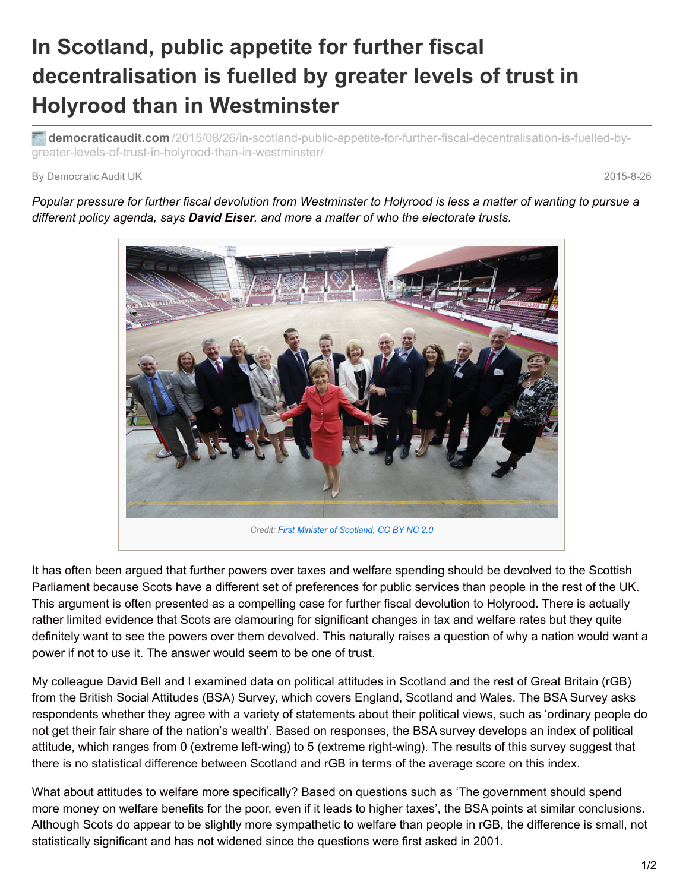## **In Scotland, public appetite for further fiscal decentralisation is fuelled by greater levels of trust in Holyrood than in Westminster**

**democraticaudit.com** [/2015/08/26/in-scotland-public-appetite-for-further-fiscal-decentralisation-is-fuelled-by](http://www.democraticaudit.com/2015/08/26/in-scotland-public-appetite-for-further-fiscal-decentralisation-is-fuelled-by-greater-levels-of-trust-in-holyrood-than-in-westminster/)greater-levels-of-trust-in-holyrood-than-in-westminster/

## By Democratic Audit UK 2015-8-26

Popular pressure for further fiscal devolution from Westminster to Holyrood is less a matter of wanting to pursue a *different policy agenda, says David Eiser, and more a matter of who the electorate trusts.*



It has often been argued that further powers over taxes and welfare spending should be devolved to the Scottish Parliament because Scots have a different set of preferences for public services than people in the rest of the UK. This argument is often presented as a compelling case for further fiscal devolution to Holyrood. There is actually rather limited evidence that Scots are clamouring for significant changes in tax and welfare rates but they quite definitely want to see the powers over them devolved. This naturally raises a question of why a nation would want a power if not to use it. The answer would seem to be one of trust.

My colleague David Bell and I examined data on political attitudes in Scotland and the rest of Great Britain (rGB) from the British Social Attitudes (BSA) Survey, which covers England, Scotland and Wales. The BSA Survey asks respondents whether they agree with a variety of statements about their political views, such as 'ordinary people do not get their fair share of the nation's wealth'. Based on responses, the BSA survey develops an index of political attitude, which ranges from 0 (extreme left-wing) to 5 (extreme right-wing). The results of this survey suggest that there is no statistical difference between Scotland and rGB in terms of the average score on this index.

What about attitudes to welfare more specifically? Based on questions such as 'The government should spend more money on welfare benefits for the poor, even if it leads to higher taxes', the BSA points at similar conclusions. Although Scots do appear to be slightly more sympathetic to welfare than people in rGB, the difference is small, not statistically significant and has not widened since the questions were first asked in 2001.